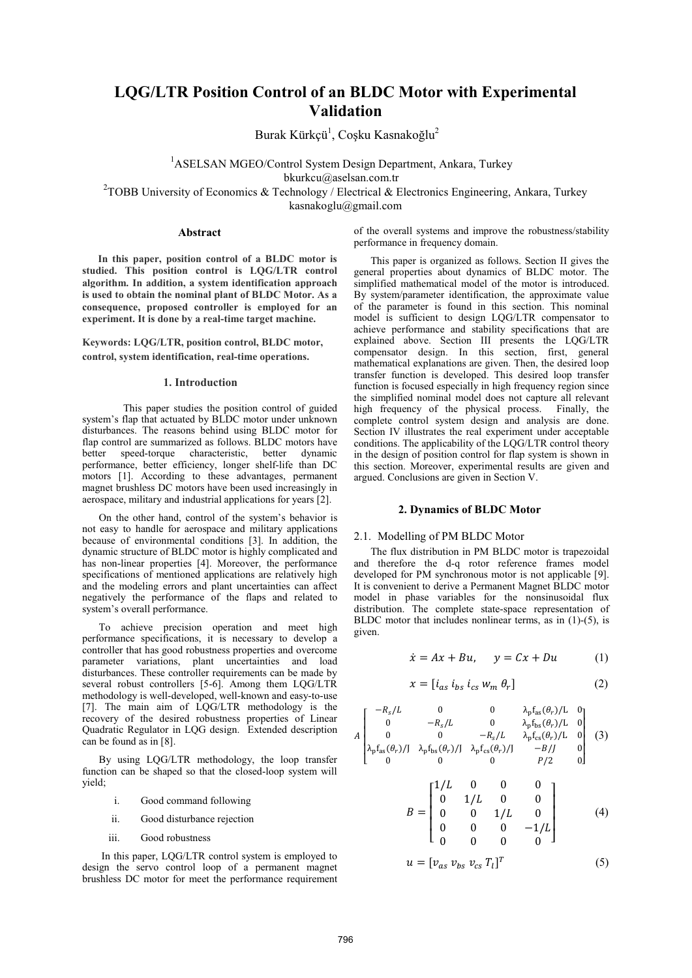# **LQG/LTR Position Control of an BLDC Motor with Experimental Validation**

Burak Kürkçü<sup>1</sup>, Coşku Kasnakoğlu<sup>2</sup>

<sup>1</sup>ASELSAN MGEO/Control System Design Department, Ankara, Turkey bkurkcu@aselsan.com.tr

<sup>2</sup>TOBB University of Economics & Technology / Electrical & Electronics Engineering, Ankara, Turkey kasnakoglu@gmail.com

# **Abstract**

**In this paper, position control of a BLDC motor is studied. This position control is LQG/LTR control algorithm. In addition, a system identification approach is used to obtain the nominal plant of BLDC Motor. As a consequence, proposed controller is employed for an experiment. It is done by a real-time target machine.** 

**Keywords: LQG/LTR, position control, BLDC motor, control, system identification, real-time operations.** 

#### **1. Introduction**

This paper studies the position control of guided system's flap that actuated by BLDC motor under unknown disturbances. The reasons behind using BLDC motor for flap control are summarized as follows. BLDC motors have<br>better speed-torque characteristic. better dynamic speed-torque characteristic, better dynamic performance, better efficiency, longer shelf-life than DC motors [1]. According to these advantages, permanent magnet brushless DC motors have been used increasingly in aerospace, military and industrial applications for years [2].

On the other hand, control of the system's behavior is not easy to handle for aerospace and military applications because of environmental conditions [3]. In addition, the dynamic structure of BLDC motor is highly complicated and has non-linear properties [4]. Moreover, the performance specifications of mentioned applications are relatively high and the modeling errors and plant uncertainties can affect negatively the performance of the flaps and related to system's overall performance.

To achieve precision operation and meet high performance specifications, it is necessary to develop a controller that has good robustness properties and overcome parameter variations, plant uncertainties and load disturbances. These controller requirements can be made by several robust controllers [5-6]. Among them LQG/LTR methodology is well-developed, well-known and easy-to-use [7]. The main aim of LQG/LTR methodology is the recovery of the desired robustness properties of Linear Quadratic Regulator in LQG design. Extended description can be found as in [8].

By using LQG/LTR methodology, the loop transfer function can be shaped so that the closed-loop system will yield;

- i. Good command following
- ii. Good disturbance rejection
- iii. Good robustness

 In this paper, LQG/LTR control system is employed to design the servo control loop of a permanent magnet brushless DC motor for meet the performance requirement of the overall systems and improve the robustness/stability performance in frequency domain.

 This paper is organized as follows. Section II gives the general properties about dynamics of BLDC motor. The simplified mathematical model of the motor is introduced. By system/parameter identification, the approximate value of the parameter is found in this section. This nominal model is sufficient to design LQG/LTR compensator to achieve performance and stability specifications that are explained above. Section III presents the LQG/LTR compensator design. In this section, first, general mathematical explanations are given. Then, the desired loop transfer function is developed. This desired loop transfer function is focused especially in high frequency region since the simplified nominal model does not capture all relevant high frequency of the physical process. Finally, the complete control system design and analysis are done. Section IV illustrates the real experiment under acceptable conditions. The applicability of the LQG/LTR control theory in the design of position control for flap system is shown in this section. Moreover, experimental results are given and argued. Conclusions are given in Section V.

## **2. Dynamics of BLDC Motor**

### 2.1. Modelling of PM BLDC Motor

-

The flux distribution in PM BLDC motor is trapezoidal and therefore the d-q rotor reference frames model developed for PM synchronous motor is not applicable [9]. It is convenient to derive a Permanent Magnet BLDC motor model in phase variables for the nonsinusoidal flux distribution. The complete state-space representation of BLDC motor that includes nonlinear terms, as in (1)-(5), is given.

$$
\dot{x} = Ax + Bu, \quad y = Cx + Du \tag{1}
$$

$$
x = [i_{as} i_{bs} i_{cs} w_m \theta_r]
$$
 (2)

$$
A\begin{bmatrix} -R_s/L & 0 & 0 & \lambda_p f_{as}(\theta_r)/L & 0\\ 0 & -R_s/L & 0 & \lambda_p f_{bs}(\theta_r)/L & 0\\ 0 & 0 & -R_s/L & \lambda_p f_{cs}(\theta_r)/L & 0\\ \lambda_p f_{as}(\theta_r)/J & \lambda_p f_{bs}(\theta_r)/J & \lambda_p f_{cs}(\theta_r)/J & -B/J & 0\\ 0 & 0 & 0 & P/2 & 0 \end{bmatrix} \quad (3)
$$

$$
B = \begin{bmatrix} 1/L & 0 & 0 & 0 \\ 0 & 1/L & 0 & 0 \\ 0 & 0 & 1/L & 0 \\ 0 & 0 & 0 & -1/L \\ 0 & 0 & 0 & 0 \end{bmatrix}
$$
 (4)

$$
u = [v_{as} \, v_{bs} \, v_{cs} \, T_l]^T \tag{5}
$$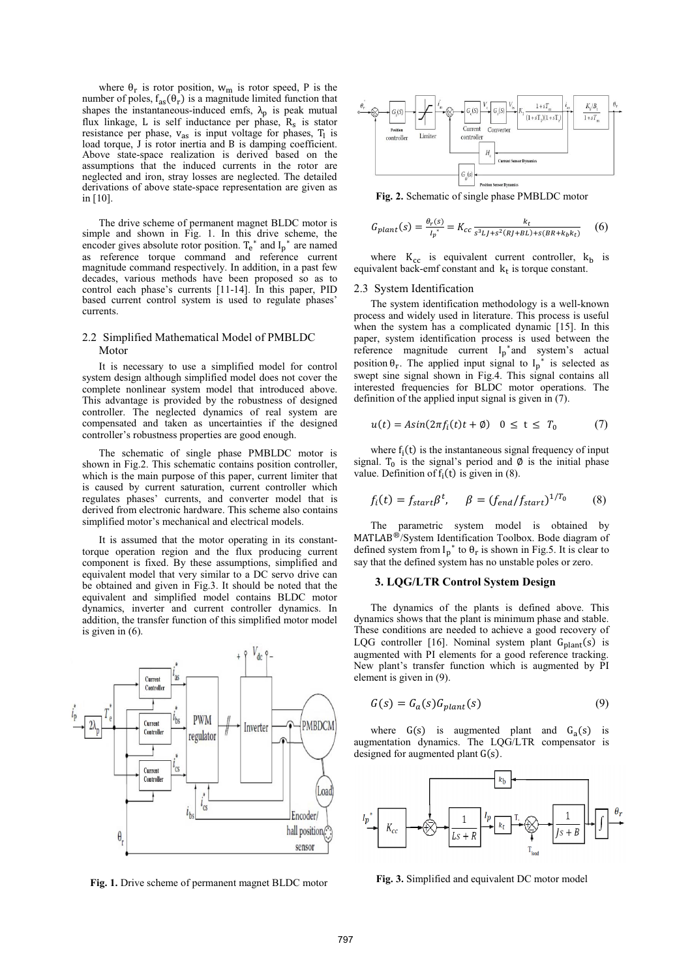where  $\theta_r$  is rotor position,  $w_m$  is rotor speed, P is the number of poles,  $f_{as}(\theta_r)$  is a magnitude limited function that shapes the instantaneous-induced emfs,  $\lambda_p$  is peak mutual flux linkage, L is self inductance per phase,  $R_s$  is stator resistance per phase,  $v_{as}$  is input voltage for phases,  $T_1$  is load torque, J is rotor inertia and B is damping coefficient. Above state-space realization is derived based on the assumptions that the induced currents in the rotor are neglected and iron, stray losses are neglected. The detailed derivations of above state-space representation are given as in [10].

The drive scheme of permanent magnet BLDC motor is simple and shown in Fig. 1. In this drive scheme, the encoder gives absolute rotor position.  $T_e^*$  and  $I_p^*$  are named as reference torque command and reference current magnitude command respectively. In addition, in a past few decades, various methods have been proposed so as to control each phase's currents [11-14]. In this paper, PID based current control system is used to regulate phases' currents.

## 2.2 Simplified Mathematical Model of PMBLDC Motor

It is necessary to use a simplified model for control system design although simplified model does not cover the complete nonlinear system model that introduced above. This advantage is provided by the robustness of designed controller. The neglected dynamics of real system are compensated and taken as uncertainties if the designed controller's robustness properties are good enough.

The schematic of single phase PMBLDC motor is shown in Fig.2. This schematic contains position controller, which is the main purpose of this paper, current limiter that is caused by current saturation, current controller which regulates phases' currents, and converter model that is derived from electronic hardware. This scheme also contains simplified motor's mechanical and electrical models.

It is assumed that the motor operating in its constanttorque operation region and the flux producing current component is fixed. By these assumptions, simplified and equivalent model that very similar to a DC servo drive can be obtained and given in Fig.3. It should be noted that the equivalent and simplified model contains BLDC motor dynamics, inverter and current controller dynamics. In addition, the transfer function of this simplified motor model is given in (6).



 **Fig. 1.** Drive scheme of permanent magnet BLDC motor



 **Fig. 2.** Schematic of single phase PMBLDC motor

$$
G_{plant}(s) = \frac{\theta_r(s)}{{I_p}^*} = K_{cc} \frac{k_t}{s^3 L J + s^2 (R J + BL) + s (BR + k_b k_t)} \tag{6}
$$

where  $K_{cc}$  is equivalent current controller,  $k_b$  is equivalent back-emf constant and  $k_t$  is torque constant.

#### 2.3 System Identification

The system identification methodology is a well-known process and widely used in literature. This process is useful when the system has a complicated dynamic [15]. In this paper, system identification process is used between the reference magnitude current  $I_p^*$  and system's actual position  $\theta_r$ . The applied input signal to  $I_p^*$  is selected as swept sine signal shown in Fig.4. This signal contains all interested frequencies for BLDC motor operations. The definition of the applied input signal is given in (7).

$$
u(t) = Asin(2\pi f_i(t)t + \emptyset) \quad 0 \le t \le T_0 \tag{7}
$$

where  $f_i(t)$  is the instantaneous signal frequency of input signal.  $T_0$  is the signal's period and  $\emptyset$  is the initial phase value. Definition of  $f_i(t)$  is given in (8).

$$
f_i(t) = f_{start}\beta^t, \quad \beta = (f_{end}/f_{start})^{1/T_0} \tag{8}
$$

The parametric system model is obtained by MATLAB<sup>®</sup>/System Identification Toolbox. Bode diagram of defined system from  $I_p^*$  to  $\theta_r$  is shown in Fig.5. It is clear to say that the defined system has no unstable poles or zero.

#### **3. LQG/LTR Control System Design**

The dynamics of the plants is defined above. This dynamics shows that the plant is minimum phase and stable. These conditions are needed to achieve a good recovery of LQG controller [16]. Nominal system plant  $G<sub>plant</sub>(s)$  is augmented with PI elements for a good reference tracking. New plant's transfer function which is augmented by PI element is given in (9).

$$
G(s) = G_a(s)G_{plant}(s)
$$
\n(9)

where  $G(s)$  is augmented plant and  $G_a(s)$  is augmentation dynamics. The LQG/LTR compensator is designed for augmented plant  $G(s)$ .



 **Fig. 3.** Simplified and equivalent DC motor model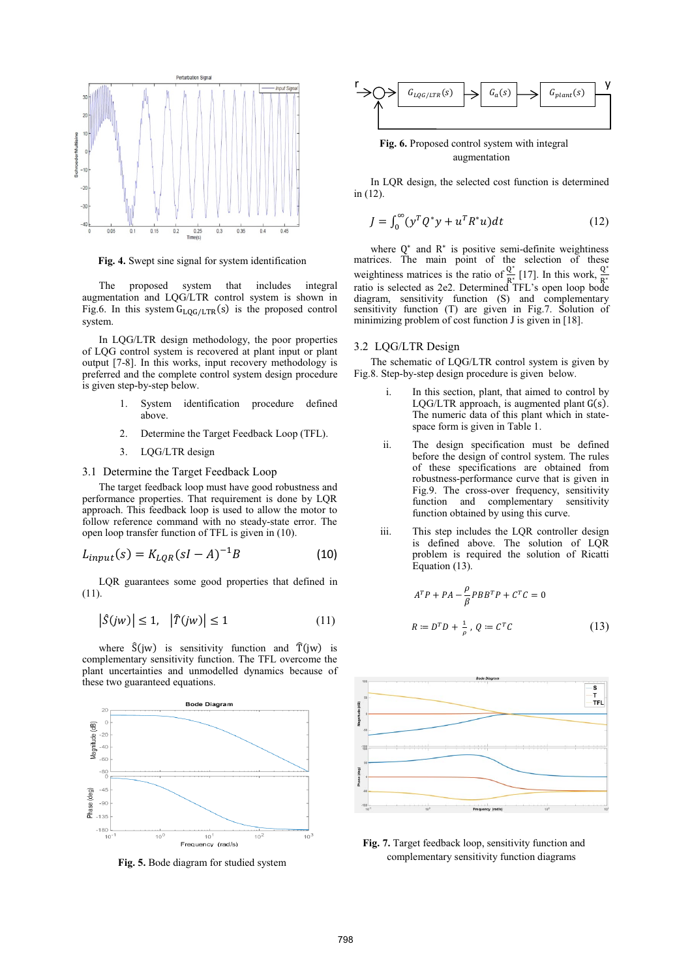

**Fig. 4.** Swept sine signal for system identification

The proposed system that includes integral augmentation and LQG/LTR control system is shown in Fig.6. In this system  $G_{\text{LOG/LTR}}(s)$  is the proposed control system.

In LQG/LTR design methodology, the poor properties of LQG control system is recovered at plant input or plant output [7-8]. In this works, input recovery methodology is preferred and the complete control system design procedure is given step-by-step below.

- 1. System identification procedure defined above.
- 2. Determine the Target Feedback Loop (TFL).
- 3. LQG/LTR design
- 3.1 Determine the Target Feedback Loop

The target feedback loop must have good robustness and performance properties. That requirement is done by LQR approach. This feedback loop is used to allow the motor to follow reference command with no steady-state error. The open loop transfer function of TFL is given in (10).

$$
L_{input}(s) = K_{LQR}(sI - A)^{-1}B
$$
 (10)

LQR guarantees some good properties that defined in (11).

$$
\left|\hat{S}(jw)\right| \le 1, \quad \left|\hat{T}(jw)\right| \le 1 \tag{11}
$$

where  $\hat{S}(jw)$  is sensitivity function and  $\hat{T}(jw)$  is complementary sensitivity function. The TFL overcome the plant uncertainties and unmodelled dynamics because of these two guaranteed equations.



**Fig. 5.** Bode diagram for studied system



**Fig. 6.** Proposed control system with integral augmentation

In LQR design, the selected cost function is determined in (12).

$$
J = \int_0^\infty (y^T Q^* y + u^T R^* u) dt \tag{12}
$$

where  $Q^*$  and  $R^*$  is positive semi-definite weightiness matrices. The main point of the selection of these weightiness matrices is the ratio of  $\frac{Q^*}{R^*}$  [17]. In this work,  $\frac{Q^*}{R^*}$  ratio is selected as 2e2. Determined TFL's open loop bode diagram, sensitivity function (S) and complementary sensitivity function (T) are given in Fig.7. Solution of minimizing problem of cost function J is given in [18].

# 3.2 LQG/LTR Design

The schematic of LQG/LTR control system is given by Fig.8. Step-by-step design procedure is given below.

- i. In this section, plant, that aimed to control by LQG/LTR approach, is augmented plant  $G(s)$ . The numeric data of this plant which in statespace form is given in Table 1.
- ii. The design specification must be defined before the design of control system. The rules of these specifications are obtained from robustness-performance curve that is given in Fig.9. The cross-over frequency, sensitivity function and complementary sensitivity function obtained by using this curve.
- iii. This step includes the LQR controller design is defined above. The solution of LQR problem is required the solution of Ricatti Equation (13).

$$
ATP + PA - \frac{\rho}{\beta} PBBTP + CTC = 0
$$
  

$$
R := DTD + \frac{1}{\rho}, Q := CTC
$$
 (13)



**Fig. 7.** Target feedback loop, sensitivity function and complementary sensitivity function diagrams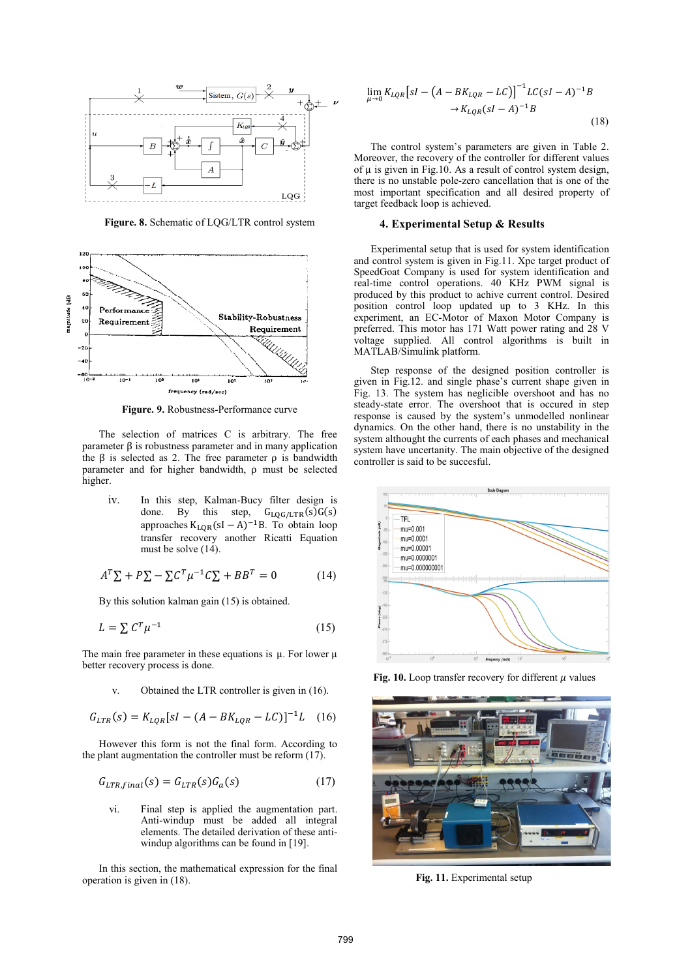

**Figure. 8.** Schematic of LQG/LTR control system



**Figure. 9.** Robustness-Performance curve

The selection of matrices C is arbitrary. The free parameter  $\beta$  is robustness parameter and in many application the  $\beta$  is selected as 2. The free parameter  $\rho$  is bandwidth parameter and for higher bandwidth,  $\rho$  must be selected higher.

iv. In this step, Kalman-Bucy filter design is done. By this step,  $G_{LQG/LTR}(s)G(s)$ approaches  $K_{LOR}(sI - A)^{-1}B$ . To obtain loop transfer recovery another Ricatti Equation must be solve (14).

$$
A^T \Sigma + P \Sigma - \Sigma C^T \mu^{-1} C \Sigma + B B^T = 0 \tag{14}
$$

By this solution kalman gain (15) is obtained.

$$
L = \sum C^T \mu^{-1} \tag{15}
$$

The main free parameter in these equations is  $\mu$ . For lower  $\mu$ better recovery process is done.

v. Obtained the LTR controller is given in (16).

$$
G_{LTR}(s) = K_{LQR}[sI - (A - BK_{LQR} - LC)]^{-1}L \quad (16)
$$

However this form is not the final form. According to the plant augmentation the controller must be reform  $(17)$ .

$$
G_{LTR,final}(s) = G_{LTR}(s)G_a(s) \tag{17}
$$

vi. Final step is applied the augmentation part. Anti-windup must be added all integral elements. The detailed derivation of these antiwindup algorithms can be found in [19].

In this section, the mathematical expression for the final operation is given in (18).

$$
\lim_{\mu \to 0} K_{LQR} [sI - (A - BK_{LQR} - LC)]^{-1} LC(sI - A)^{-1}B \to K_{LQR} (sI - A)^{-1}B
$$
\n(18)

The control system's parameters are given in Table 2. Moreover, the recovery of the controller for different values of  $\mu$  is given in Fig.10. As a result of control system design, there is no unstable pole-zero cancellation that is one of the most important specification and all desired property of target feedback loop is achieved.

# **4. Experimental Setup & Results**

Experimental setup that is used for system identification and control system is given in Fig.11. Xpc target product of SpeedGoat Company is used for system identification and real-time control operations. 40 KHz PWM signal is produced by this product to achive current control. Desired position control loop updated up to 3 KHz. In this experiment, an EC-Motor of Maxon Motor Company is preferred. This motor has 171 Watt power rating and 28 V voltage supplied. All control algorithms is built in MATLAB/Simulink platform.

Step response of the designed position controller is given in Fig.12. and single phase's current shape given in Fig. 13. The system has neglicible overshoot and has no steady-state error. The overshoot that is occured in step response is caused by the system's unmodelled nonlinear dynamics. On the other hand, there is no unstability in the system althought the currents of each phases and mechanical system have uncertanity. The main objective of the designed controller is said to be succesful.



Fig. 10. Loop transfer recovery for different  $\mu$  values



**Fig. 11.** Experimental setup